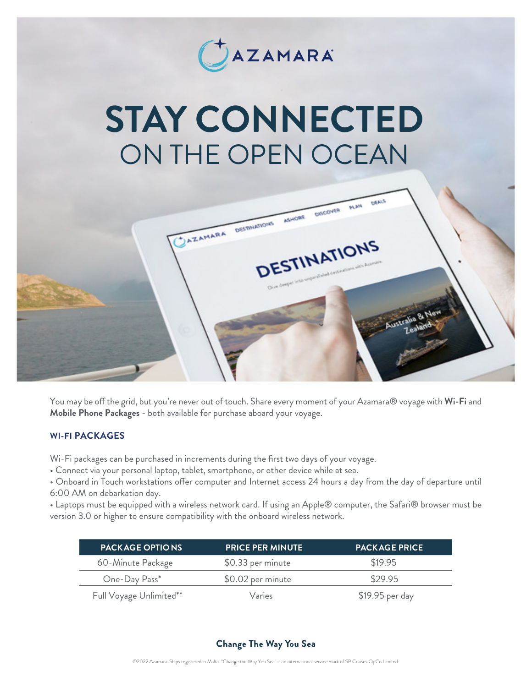

# *STAY CONNECTED* ON THE OPEN OCEAN



You may be off the grid, but you're never out of touch. Share every moment of your Azamara® voyage with *Wi-Fi* and *Mobile Phone Packages* - both available for purchase aboard your voyage.

## *WI-FI PACKAGES*

Wi-Fi packages can be purchased in increments during the first two days of your voyage.

• Connect via your personal laptop, tablet, smartphone, or other device while at sea.

• Onboard in Touch workstations offer computer and Internet access 24 hours a day from the day of departure until 6:00 AM on debarkation day.

• Laptops must be equipped with a wireless network card. If using an Apple® computer, the Safari® browser must be version 3.0 or higher to ensure compatibility with the onboard wireless network.

| <b>PACK AGE OPTIONS</b> | <b>PRICE PER MINUTE</b> | <b>PACKAGE PRICE</b> |
|-------------------------|-------------------------|----------------------|
| 60-Minute Package       | \$0.33 per minute       | \$19.95              |
| One-Day Pass*           | \$0.02 per minute       | \$29.95              |
| Full Voyage Unlimited** | Varies                  | $$19.95$ per day     |

## **Change The Way You Sea**